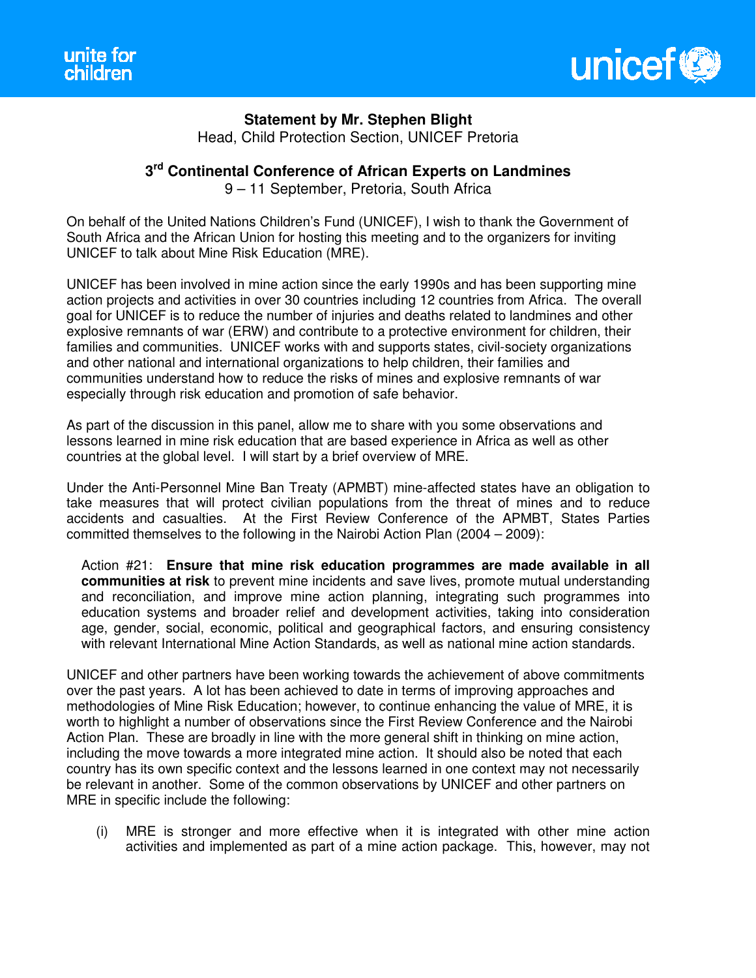

**Statement by Mr. Stephen Blight** 

Head, Child Protection Section, UNICEF Pretoria

## **3 rd Continental Conference of African Experts on Landmines**

9 – 11 September, Pretoria, South Africa

On behalf of the United Nations Children's Fund (UNICEF), I wish to thank the Government of South Africa and the African Union for hosting this meeting and to the organizers for inviting UNICEF to talk about Mine Risk Education (MRE).

UNICEF has been involved in mine action since the early 1990s and has been supporting mine action projects and activities in over 30 countries including 12 countries from Africa. The overall goal for UNICEF is to reduce the number of injuries and deaths related to landmines and other explosive remnants of war (ERW) and contribute to a protective environment for children, their families and communities. UNICEF works with and supports states, civil-society organizations and other national and international organizations to help children, their families and communities understand how to reduce the risks of mines and explosive remnants of war especially through risk education and promotion of safe behavior.

As part of the discussion in this panel, allow me to share with you some observations and lessons learned in mine risk education that are based experience in Africa as well as other countries at the global level. I will start by a brief overview of MRE.

Under the Anti-Personnel Mine Ban Treaty (APMBT) mine-affected states have an obligation to take measures that will protect civilian populations from the threat of mines and to reduce accidents and casualties. At the First Review Conference of the APMBT, States Parties committed themselves to the following in the Nairobi Action Plan (2004 – 2009):

Action #21: **Ensure that mine risk education programmes are made available in all communities at risk** to prevent mine incidents and save lives, promote mutual understanding and reconciliation, and improve mine action planning, integrating such programmes into education systems and broader relief and development activities, taking into consideration age, gender, social, economic, political and geographical factors, and ensuring consistency with relevant International Mine Action Standards, as well as national mine action standards.

UNICEF and other partners have been working towards the achievement of above commitments over the past years. A lot has been achieved to date in terms of improving approaches and methodologies of Mine Risk Education; however, to continue enhancing the value of MRE, it is worth to highlight a number of observations since the First Review Conference and the Nairobi Action Plan. These are broadly in line with the more general shift in thinking on mine action, including the move towards a more integrated mine action. It should also be noted that each country has its own specific context and the lessons learned in one context may not necessarily be relevant in another. Some of the common observations by UNICEF and other partners on MRE in specific include the following:

(i) MRE is stronger and more effective when it is integrated with other mine action activities and implemented as part of a mine action package. This, however, may not